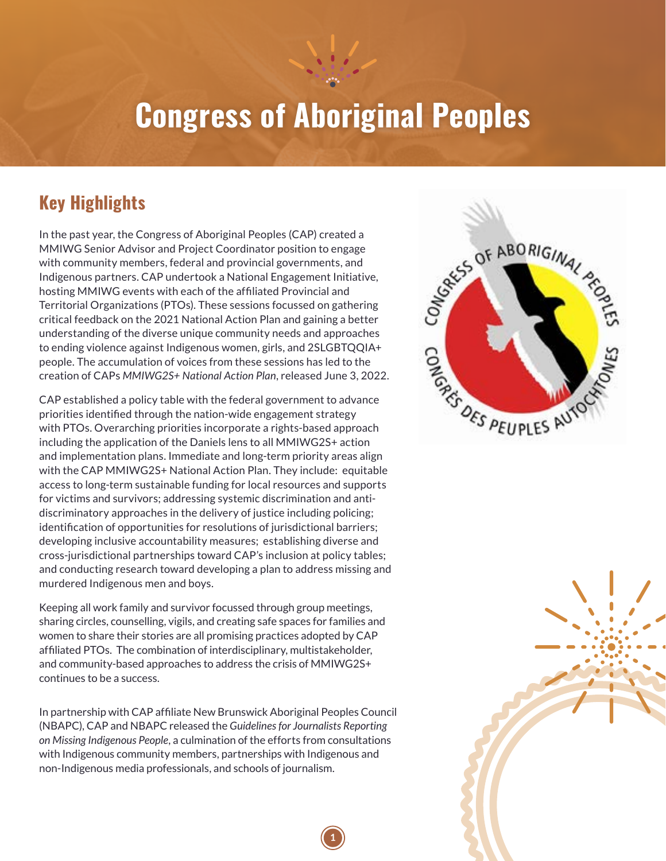# **Congress of Aboriginal Peoples**

### **Key Highlights**

In the past year, the Congress of Aboriginal Peoples (CAP) created a MMIWG Senior Advisor and Project Coordinator position to engage with community members, federal and provincial governments, and Indigenous partners. CAP undertook a National Engagement Initiative, hosting MMIWG events with each of the affiliated Provincial and Territorial Organizations (PTOs). These sessions focussed on gathering critical feedback on the 2021 National Action Plan and gaining a better understanding of the diverse unique community needs and approaches to ending violence against Indigenous women, girls, and 2SLGBTQQIA+ people. The accumulation of voices from these sessions has led to the creation of CAPs *MMIWG2S+ National Action Plan*, released June 3, 2022.

CAP established a policy table with the federal government to advance priorities identified through the nation-wide engagement strategy with PTOs. Overarching priorities incorporate a rights-based approach including the application of the Daniels lens to all MMIWG2S+ action and implementation plans. Immediate and long-term priority areas align with the CAP MMIWG2S+ National Action Plan. They include: equitable access to long-term sustainable funding for local resources and supports for victims and survivors; addressing systemic discrimination and antidiscriminatory approaches in the delivery of justice including policing; identification of opportunities for resolutions of jurisdictional barriers; developing inclusive accountability measures; establishing diverse and cross-jurisdictional partnerships toward CAP's inclusion at policy tables; and conducting research toward developing a plan to address missing and murdered Indigenous men and boys.

Keeping all work family and survivor focussed through group meetings, sharing circles, counselling, vigils, and creating safe spaces for families and women to share their stories are all promising practices adopted by CAP affiliated PTOs. The combination of interdisciplinary, multistakeholder, and community-based approaches to address the crisis of MMIWG2S+ continues to be a success.

In partnership with CAP affiliate New Brunswick Aboriginal Peoples Council (NBAPC), CAP and NBAPC released the *Guidelines for Journalists Reporting on Missing Indigenous People*, a culmination of the efforts from consultations with Indigenous community members, partnerships with Indigenous and non-Indigenous media professionals, and schools of journalism.

**1**



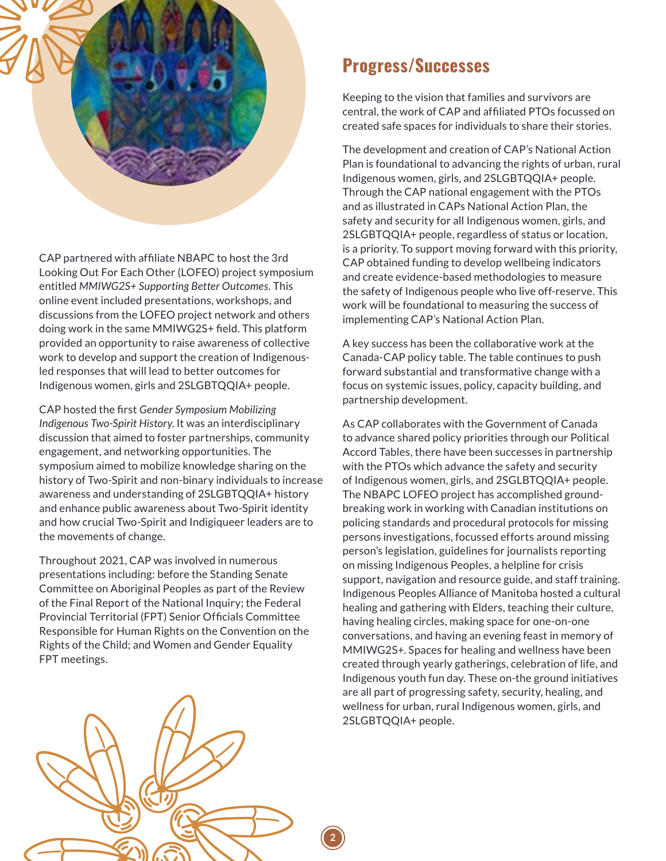

CAP partnered with affiliate NBAPC to host the 3rd Looking Out For Each Other (LOFEO) project symposium entitled *MMIWG2S+ Supporting Better Outcomes*. This online event included presentations, workshops, and discussions from the LOFEO project network and others doing work in the same MMIWG2S+ field. This platform provided an opportunity to raise awareness of collective work to develop and support the creation of Indigenousled responses that will lead to better outcomes for Indigenous women, girls and 2SLGBTQQIA+ people.

CAP hosted the first *Gender Symposium Mobilizing Indigenous Two-Spirit History*. It was an interdisciplinary discussion that aimed to foster partnerships, community engagement, and networking opportunities. The symposium aimed to mobilize knowledge sharing on the history of Two-Spirit and non-binary individuals to increase awareness and understanding of 2SLGBTQQIA+ history and enhance public awareness about Two-Spirit identity and how crucial Two-Spirit and Indigiqueer leaders are to the movements of change.

Throughout 2021, CAP was involved in numerous presentations including: before the Standing Senate Committee on Aboriginal Peoples as part of the Review of the Final Report of the National Inquiry; the Federal Provincial Territorial (FPT) Senior Officials Committee Responsible for Human Rights on the Convention on the Rights of the Child; and Women and Gender Equality FPT meetings.

#### **Progress/Successes**

Keeping to the vision that families and survivors are central, the work of CAP and affiliated PTOs focussed on created safe spaces for individuals to share their stories.

The development and creation of CAP's National Action Plan is foundational to advancing the rights of urban, rural Indigenous women, girls, and 2SLGBTQQIA+ people. Through the CAP national engagement with the PTOs and as illustrated in CAPs National Action Plan, the safety and security for all Indigenous women, girls, and 2SLGBTQQIA+ people, regardless of status or location, is a priority. To support moving forward with this priority, CAP obtained funding to develop wellbeing indicators and create evidence-based methodologies to measure the safety of Indigenous people who live off-reserve. This work will be foundational to measuring the success of implementing CAP's National Action Plan.

A key success has been the collaborative work at the Canada-CAP policy table. The table continues to push forward substantial and transformative change with a focus on systemic issues, policy, capacity building, and partnership development.

As CAP collaborates with the Government of Canada to advance shared policy priorities through our Political Accord Tables, there have been successes in partnership with the PTOs which advance the safety and security of Indigenous women, girls, and 2SGLBTQQIA+ people. The NBAPC LOFEO project has accomplished groundbreaking work in working with Canadian institutions on policing standards and procedural protocols for missing persons investigations, focussed efforts around missing person's legislation, guidelines for journalists reporting on missing Indigenous Peoples, a helpline for crisis support, navigation and resource guide, and staff training. Indigenous Peoples Alliance of Manitoba hosted a cultural healing and gathering with Elders, teaching their culture, having healing circles, making space for one-on-one conversations, and having an evening feast in memory of MMIWG2S+. Spaces for healing and wellness have been created through yearly gatherings, celebration of life, and Indigenous youth fun day. These on-the ground initiatives are all part of progressing safety, security, healing, and wellness for urban, rural Indigenous women, girls, and 2SLGBTQQIA+ people.



**2**